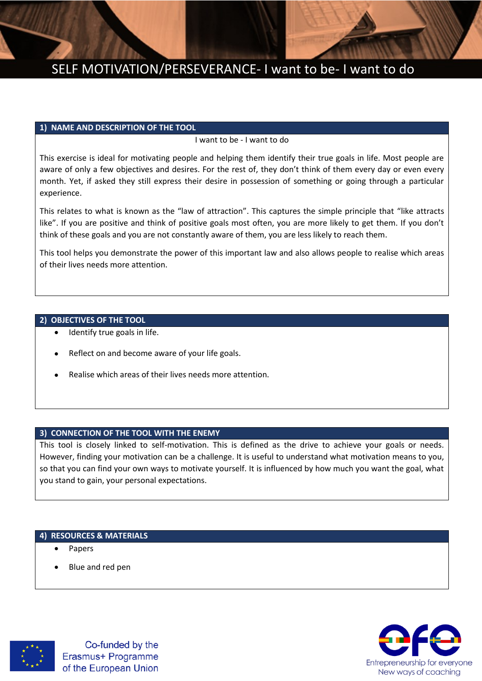

## SELF MOTIVATION/PERSEVERANCE- I want to be- I want to do

#### **1) NAME AND DESCRIPTION OF THE TOOL**

### I want to be - I want to do

This exercise is ideal for motivating people and helping them identify their true goals in life. Most people are aware of only a few objectives and desires. For the rest of, they don't think of them every day or even every month. Yet, if asked they still express their desire in possession of something or going through a particular experience.

This relates to what is known as the "law of attraction". This captures the simple principle that "like attracts like". If you are positive and think of positive goals most often, you are more likely to get them. If you don't think of these goals and you are not constantly aware of them, you are less likely to reach them.

This tool helps you demonstrate the power of this important law and also allows people to realise which areas of their lives needs more attention.

### **2) OBJECTIVES OF THE TOOL**

- Identify true goals in life.
- Reflect on and become aware of your life goals.
- Realise which areas of their lives needs more attention.

### **3) CONNECTION OF THE TOOL WITH THE ENEMY**

This tool is closely linked to self-motivation. This is defined as the drive to achieve your goals or needs. However, finding your motivation can be a challenge. It is useful to understand what motivation means to you, so that you can find your own ways to motivate yourself. It is influenced by how much you want the goal, what you stand to gain, your personal expectations.

## **4) RESOURCES & MATERIALS**

- Papers
- Blue and red pen



Co-funded by the Erasmus+ Programme of the European Union

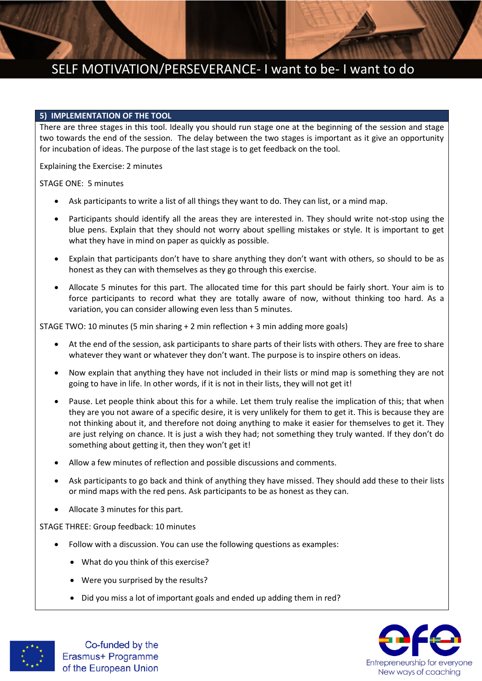# SELF MOTIVATION/PERSEVERANCE- I want to be- I want to do

#### **5) IMPLEMENTATION OF THE TOOL**

There are three stages in this tool. Ideally you should run stage one at the beginning of the session and stage two towards the end of the session. The delay between the two stages is important as it give an opportunity for incubation of ideas. The purpose of the last stage is to get feedback on the tool.

Explaining the Exercise: 2 minutes

STAGE ONE: 5 minutes

- Ask participants to write a list of all things they want to do. They can list, or a mind map.
- Participants should identify all the areas they are interested in. They should write not-stop using the blue pens. Explain that they should not worry about spelling mistakes or style. It is important to get what they have in mind on paper as quickly as possible.
- Explain that participants don't have to share anything they don't want with others, so should to be as honest as they can with themselves as they go through this exercise.
- Allocate 5 minutes for this part. The allocated time for this part should be fairly short. Your aim is to force participants to record what they are totally aware of now, without thinking too hard. As a variation, you can consider allowing even less than 5 minutes.

STAGE TWO: 10 minutes (5 min sharing + 2 min reflection + 3 min adding more goals)

- At the end of the session, ask participants to share parts of their lists with others. They are free to share whatever they want or whatever they don't want. The purpose is to inspire others on ideas.
- Now explain that anything they have not included in their lists or mind map is something they are not going to have in life. In other words, if it is not in their lists, they will not get it!
- Pause. Let people think about this for a while. Let them truly realise the implication of this; that when they are you not aware of a specific desire, it is very unlikely for them to get it. This is because they are not thinking about it, and therefore not doing anything to make it easier for themselves to get it. They are just relying on chance. It is just a wish they had; not something they truly wanted. If they don't do something about getting it, then they won't get it!
- Allow a few minutes of reflection and possible discussions and comments.
- Ask participants to go back and think of anything they have missed. They should add these to their lists or mind maps with the red pens. Ask participants to be as honest as they can.
- Allocate 3 minutes for this part.

STAGE THREE: Group feedback: 10 minutes

- Follow with a discussion. You can use the following questions as examples:
	- What do you think of this exercise?
	- Were you surprised by the results?
	- Did you miss a lot of important goals and ended up adding them in red?





Co-funded by the Erasmus+ Programme of the European Union